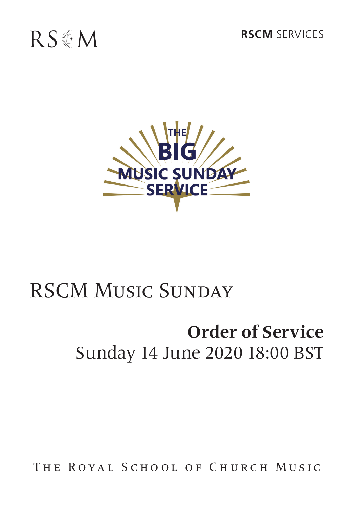





# RSCM Music Sunday

# **Order of Service** Sunday 14 June 2020 18:00 BST

THE ROYAL SCHOOL OF CHURCH MUSIC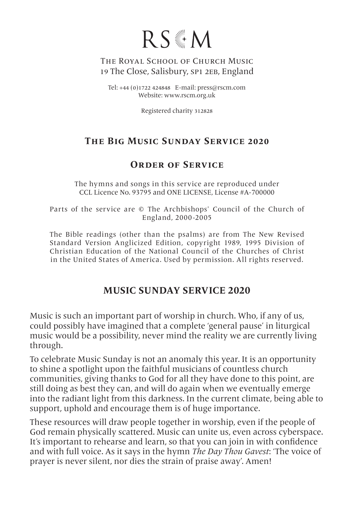

#### The Royal School of Church Music 19 The Close, Salisbury, sp1 2eb, England

Tel: +44 (0)1722 424848 E-mail: press@rscm.com Website: www.rscm.org.uk

Registered charity 312828

## **The Big Music Sunday Service 2020**

## **Order of Service**

The hymns and songs in this service are reproduced under CCL Licence No. 93795 and ONE LICENSE, License #A-700000

Parts of the service are © The Archbishops' Council of the Church of England, 2000-2005

The Bible readings (other than the psalms) are from The New Revised Standard Version Anglicized Edition, copyright 1989, 1995 Division of Christian Education of the National Council of the Churches of Christ in the United States of America. Used by permission. All rights reserved.

## **MUSIC SUNDAY SERVICE 2020**

Music is such an important part of worship in church. Who, if any of us, could possibly have imagined that a complete 'general pause' in liturgical music would be a possibility, never mind the reality we are currently living through.

To celebrate Music Sunday is not an anomaly this year. It is an opportunity to shine a spotlight upon the faithful musicians of countless church communities, giving thanks to God for all they have done to this point, are still doing as best they can, and will do again when we eventually emerge into the radiant light from this darkness. In the current climate, being able to support, uphold and encourage them is of huge importance.

These resources will draw people together in worship, even if the people of God remain physically scattered. Music can unite us, even across cyberspace. It's important to rehearse and learn, so that you can join in with confidence and with full voice. As it says in the hymn *The Day Thou Gavest*: 'The voice of prayer is never silent, nor dies the strain of praise away'. Amen!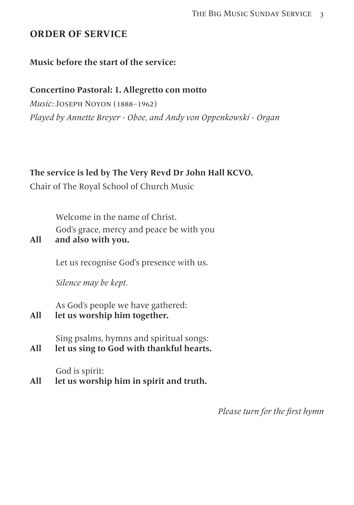## **ORDER OF SERVICE**

## **Music before the start of the service:**

#### **Concertino Pastoral: 1. Allegretto con motto**

*Music:* Joseph Noyon (1888–1962) *Played by Annette Breyer - Oboe, and Andy von Oppenkowski - Organ*

**The service is led by The Very Revd Dr John Hall KCVO,**

Chair of The Royal School of Church Music

Welcome in the name of Christ.

God's grace, mercy and peace be with you

## **All and also with you.**

Let us recognise God's presence with us.

*Silence may be kept.* 

As God's people we have gathered:

**All let us worship him together.** 

Sing psalms, hymns and spiritual songs:

**All let us sing to God with thankful hearts.** 

God is spirit:

**All let us worship him in spirit and truth.** 

 *Please turn for the first hymn*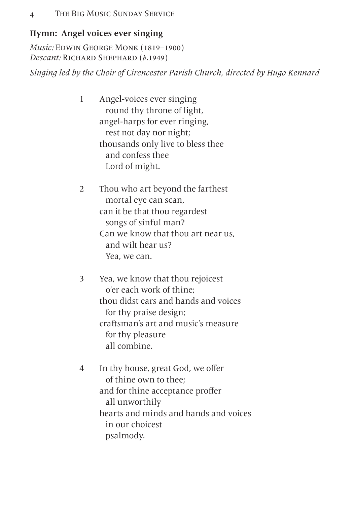# **Hymn: Angel voices ever singing**

*Music:* Edwin George Monk (1819–1900) *Descant:* Richard Shephard (*b*.1949)

*Singing led by the Choir of Cirencester Parish Church, directed by Hugo Kennard*

- 1 Angel-voices ever singing round thy throne of light, angel-harps for ever ringing, rest not day nor night; thousands only live to bless thee and confess thee Lord of might.
- 2 Thou who art beyond the farthest mortal eye can scan, can it be that thou regardest songs of sinful man? Can we know that thou art near us, and wilt hear us? Yea, we can.
- 3 Yea, we know that thou rejoicest o'er each work of thine; thou didst ears and hands and voices for thy praise design; craftsman's art and music's measure for thy pleasure all combine.
- 4 In thy house, great God, we offer of thine own to thee; and for thine acceptance proffer all unworthily hearts and minds and hands and voices in our choicest psalmody.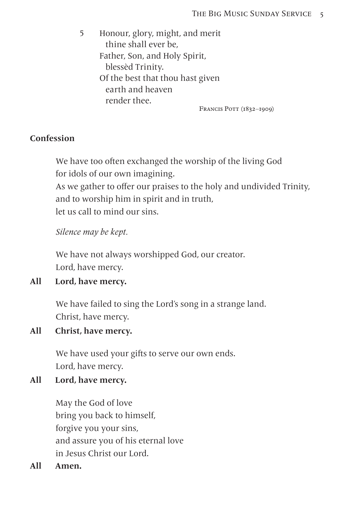5 Honour, glory, might, and merit thine shall ever be, Father, Son, and Holy Spirit, blessèd Trinity. Of the best that thou hast given earth and heaven render thee.

Francis Pott (1832–1909)

## **Confession**

We have too often exchanged the worship of the living God for idols of our own imagining. As we gather to offer our praises to the holy and undivided Trinity, and to worship him in spirit and in truth, let us call to mind our sins.

*Silence may be kept.* 

We have not always worshipped God, our creator. Lord, have mercy.

**All Lord, have mercy.** 

We have failed to sing the Lord's song in a strange land. Christ, have mercy.

**All Christ, have mercy.** 

We have used your gifts to serve our own ends. Lord, have mercy.

**All Lord, have mercy.** 

May the God of love bring you back to himself, forgive you your sins, and assure you of his eternal love in Jesus Christ our Lord.

**All Amen.**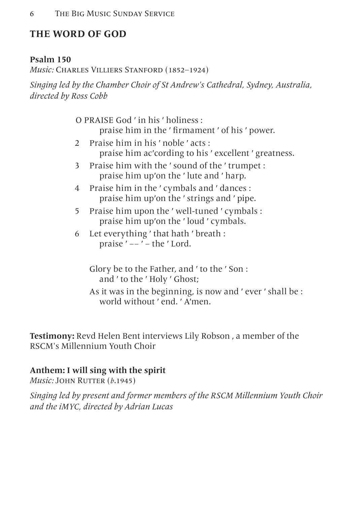# **THE WORD OF GOD**

## **Psalm 150**

*Music:* Charles Villiers Stanford (1852–1924)

*Singing led by the Chamber Choir of St Andrew's Cathedral, Sydney, Australia, directed by Ross Cobb*

|    | O PRAISE God ' in his ' holiness :<br>praise him in the ' firmament' of his ' power.         |
|----|----------------------------------------------------------------------------------------------|
|    | 2 Praise him in his ' noble ' acts :<br>praise him ac'cording to his ' excellent' greatness. |
| 3  | Praise him with the ' sound of the ' trumpet :<br>praise him up'on the 'lute and 'harp.      |
|    | 4 Praise him in the ' cymbals and ' dances :<br>praise him up'on the ' strings and ' pipe.   |
| 5. | Praise him upon the ' well-tuned ' cymbals :<br>praise him up'on the 'loud' cymbals.         |
| 6  | Let everything 'that hath' breath :<br>praise $' --' -$ the 'Lord.                           |
|    | Clory he to the Eather and $'$ to the $'$ Con $\cdot$                                        |

 Glory be to the Father, and ′ to the ′ Son : and ′ to the ′ Holy ′ Ghost;

 As it was in the beginning, is now and ′ ever ′ shall be : world without ' end. ' A'men.

**Testimony:** Revd Helen Bent interviews Lily Robson , a member of the RSCM's Millennium Youth Choir

# **Anthem: I will sing with the spirit**

*Music: JOHN RUTTER (b.1945)* 

*Singing led by present and former members of the RSCM Millennium Youth Choir and the iMYC, directed by Adrian Lucas*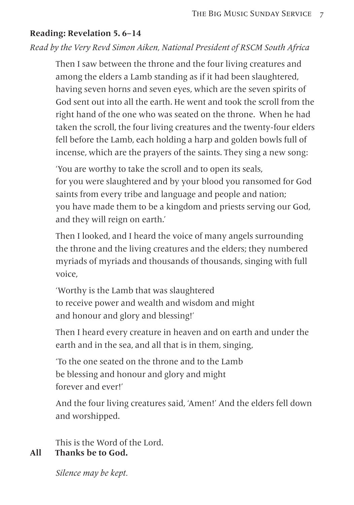## **Reading: Revelation 5. 6–14**

*Read by the Very Revd Simon Aiken, National President of RSCM South Africa*

Then I saw between the throne and the four living creatures and among the elders a Lamb standing as if it had been slaughtered, having seven horns and seven eyes, which are the seven spirits of God sent out into all the earth. He went and took the scroll from the right hand of the one who was seated on the throne. When he had taken the scroll, the four living creatures and the twenty-four elders fell before the Lamb, each holding a harp and golden bowls full of incense, which are the prayers of the saints. They sing a new song:

'You are worthy to take the scroll and to open its seals, for you were slaughtered and by your blood you ransomed for God saints from every tribe and language and people and nation; you have made them to be a kingdom and priests serving our God, and they will reign on earth.'

Then I looked, and I heard the voice of many angels surrounding the throne and the living creatures and the elders; they numbered myriads of myriads and thousands of thousands, singing with full voice,

'Worthy is the Lamb that was slaughtered to receive power and wealth and wisdom and might and honour and glory and blessing!'

Then I heard every creature in heaven and on earth and under the earth and in the sea, and all that is in them, singing,

'To the one seated on the throne and to the Lamb be blessing and honour and glory and might forever and ever!'

And the four living creatures said, 'Amen!' And the elders fell down and worshipped.

This is the Word of the Lord. **All Thanks be to God.** 

*Silence may be kept.*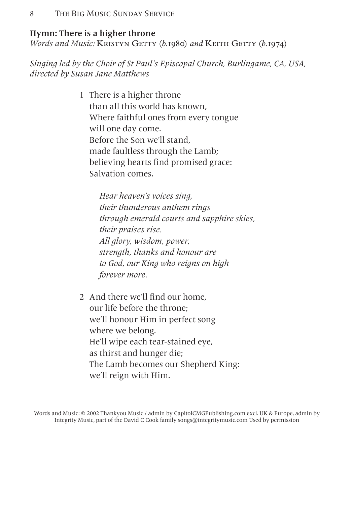## **Hymn: There is a higher throne**

*Words and Music: KRISTYN GETTY (b.1980) and KEITH GETTY (b.1974)* 

*Singing led by the Choir of St Paul's Episcopal Church, Burlingame, CA, USA, directed by Susan Jane Matthews*

> 1 There is a higher throne than all this world has known, Where faithful ones from every tongue will one day come. Before the Son we'll stand, made faultless through the Lamb; believing hearts find promised grace: Salvation comes.

> > *Hear heaven's voices sing, their thunderous anthem rings through emerald courts and sapphire skies, their praises rise. All glory, wisdom, power, strength, thanks and honour are to God, our King who reigns on high forever more.*

2 And there we'll find our home, our life before the throne; we'll honour Him in perfect song where we belong. He'll wipe each tear-stained eye, as thirst and hunger die; The Lamb becomes our Shepherd King: we'll reign with Him.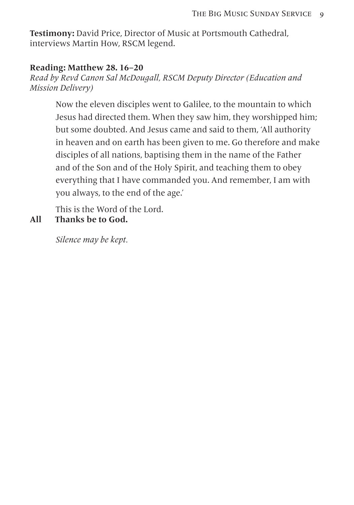**Testimony:** David Price, Director of Music at Portsmouth Cathedral, interviews Martin How, RSCM legend.

#### **Reading: Matthew 28. 16–20**

*Read by Revd Canon Sal McDougall, RSCM Deputy Director (Education and Mission Delivery)*

Now the eleven disciples went to Galilee, to the mountain to which Jesus had directed them. When they saw him, they worshipped him; but some doubted. And Jesus came and said to them, 'All authority in heaven and on earth has been given to me. Go therefore and make disciples of all nations, baptising them in the name of the Father and of the Son and of the Holy Spirit, and teaching them to obey everything that I have commanded you. And remember, I am with you always, to the end of the age.'

This is the Word of the Lord.

## **All Thanks be to God.**

*Silence may be kept.*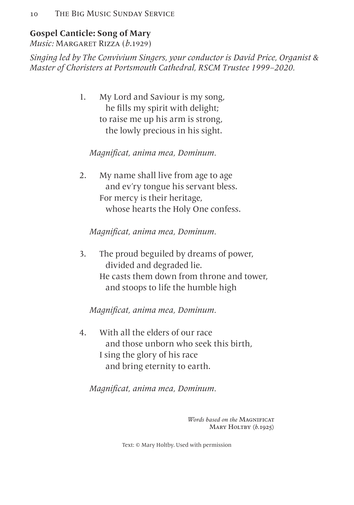# **Gospel Canticle: Song of Mary**

*Music:* Margaret Rizza (*b*.1929)

*Singing led by The Convivium Singers, your conductor is David Price, Organist & Master of Choristers at Portsmouth Cathedral, RSCM Trustee 1999–2020.*

> 1. My Lord and Saviour is my song, he fills my spirit with delight; to raise me up his arm is strong, the lowly precious in his sight.

## *Magnificat, anima mea, Dominum.*

2. My name shall live from age to age and ev'ry tongue his servant bless. For mercy is their heritage, whose hearts the Holy One confess.

## *Magnificat, anima mea, Dominum.*

3. The proud beguiled by dreams of power, divided and degraded lie. He casts them down from throne and tower, and stoops to life the humble high

## *Magnificat, anima mea, Dominum.*

4. With all the elders of our race and those unborn who seek this birth, I sing the glory of his race and bring eternity to earth.

*Magnificat, anima mea, Dominum.* 

*Words based on the MAGNIFICAT* Mary Holtby (*b.*1925)

Text: © Mary Holtby. Used with permission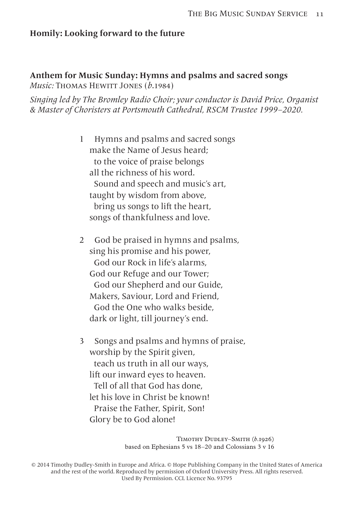#### **Homily: Looking forward to the future**

#### **Anthem for Music Sunday: Hymns and psalms and sacred songs**  *Music:* Thomas Hewitt Jones (*b*.1984)

*Singing led by The Bromley Radio Choir; your conductor is David Price, Organist & Master of Choristers at Portsmouth Cathedral, RSCM Trustee 1999–2020.*

> 1 Hymns and psalms and sacred songs make the Name of Jesus heard; to the voice of praise belongs all the richness of his word. Sound and speech and music's art, taught by wisdom from above, bring us songs to lift the heart, songs of thankfulness and love.

- 2 God be praised in hymns and psalms, sing his promise and his power, God our Rock in life's alarms, God our Refuge and our Tower; God our Shepherd and our Guide, Makers, Saviour, Lord and Friend, God the One who walks beside, dark or light, till journey's end.
- 3 Songs and psalms and hymns of praise, worship by the Spirit given, teach us truth in all our ways, lift our inward eyes to heaven. Tell of all that God has done, let his love in Christ be known! Praise the Father, Spirit, Son! Glory be to God alone!

Timothy Dudley–Smith (*b*.1926) based on Ephesians 5 vs 18–20 and Colossians 3 v 16

© 2014 Timothy Dudley-Smith in Europe and Africa. © Hope Publishing Company in the United States of America and the rest of the world. Reproduced by permission of Oxford University Press. All rights reserved. Used By Permission. CCL Licence No. 93795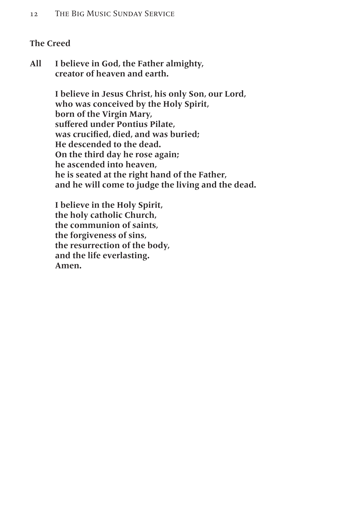### **The Creed**

**All I believe in God, the Father almighty, creator of heaven and earth.** 

> **I believe in Jesus Christ, his only Son, our Lord, who was conceived by the Holy Spirit, born of the Virgin Mary, suffered under Pontius Pilate, was crucified, died, and was buried; He descended to the dead. On the third day he rose again; he ascended into heaven, he is seated at the right hand of the Father, and he will come to judge the living and the dead.**

**I believe in the Holy Spirit, the holy catholic Church, the communion of saints, the forgiveness of sins, the resurrection of the body, and the life everlasting. Amen.**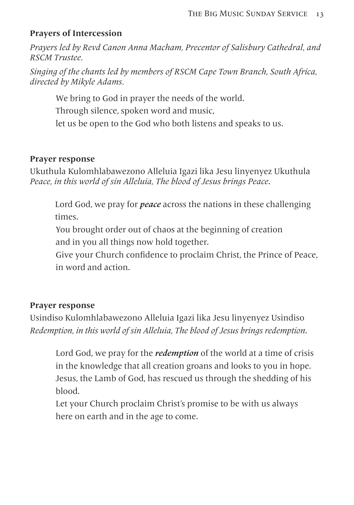## **Prayers of Intercession**

*Prayers led by Revd Canon Anna Macham, Precentor of Salisbury Cathedral, and RSCM Trustee.*

*Singing of the chants led by members of RSCM Cape Town Branch, South Africa, directed by Mikyle Adams.* 

We bring to God in prayer the needs of the world. Through silence, spoken word and music, let us be open to the God who both listens and speaks to us.

#### **Prayer response**

Ukuthula Kulomhlabawezono Alleluia Igazi lika Jesu linyenyez Ukuthula *Peace, in this world of sin Alleluia, The blood of Jesus brings Peace*.

Lord God, we pray for *peace* across the nations in these challenging times.

You brought order out of chaos at the beginning of creation and in you all things now hold together.

Give your Church confidence to proclaim Christ, the Prince of Peace, in word and action.

#### **Prayer response**

Usindiso Kulomhlabawezono Alleluia Igazi lika Jesu linyenyez Usindiso *Redemption, in this world of sin Alleluia, The blood of Jesus brings redemption*.

Lord God, we pray for the *redemption* of the world at a time of crisis in the knowledge that all creation groans and looks to you in hope. Jesus, the Lamb of God, has rescued us through the shedding of his blood.

Let your Church proclaim Christ's promise to be with us always here on earth and in the age to come.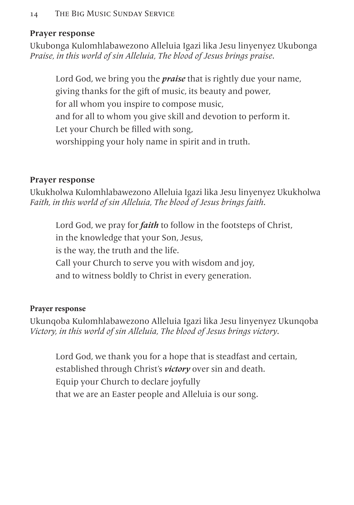#### 14 THE BIG MUSIC SUNDAY SERVICE

### **Prayer response**

Ukubonga Kulomhlabawezono Alleluia Igazi lika Jesu linyenyez Ukubonga *Praise, in this world of sin Alleluia, The blood of Jesus brings praise*.

Lord God, we bring you the *praise* that is rightly due your name, giving thanks for the gift of music, its beauty and power, for all whom you inspire to compose music, and for all to whom you give skill and devotion to perform it. Let your Church be filled with song, worshipping your holy name in spirit and in truth.

#### **Prayer response**

Ukukholwa Kulomhlabawezono Alleluia Igazi lika Jesu linyenyez Ukukholwa *Faith, in this world of sin Alleluia, The blood of Jesus brings faith*.

Lord God, we pray for *faith* to follow in the footsteps of Christ, in the knowledge that your Son, Jesus, is the way, the truth and the life. Call your Church to serve you with wisdom and joy, and to witness boldly to Christ in every generation.

#### **Prayer response**

Ukunqoba Kulomhlabawezono Alleluia Igazi lika Jesu linyenyez Ukunqoba *Victory, in this world of sin Alleluia, The blood of Jesus brings victory*.

Lord God, we thank you for a hope that is steadfast and certain, established through Christ's *victory* over sin and death. Equip your Church to declare joyfully that we are an Easter people and Alleluia is our song.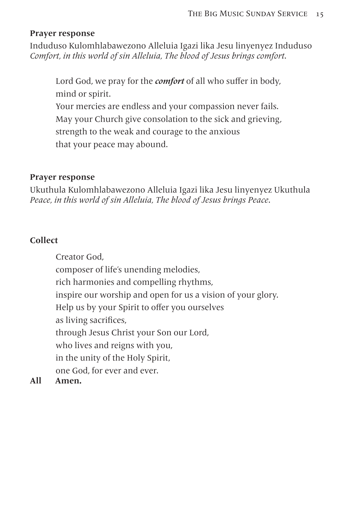## **Prayer response**

Induduso Kulomhlabawezono Alleluia Igazi lika Jesu linyenyez Induduso *Comfort, in this world of sin Alleluia, The blood of Jesus brings comfort*.

Lord God, we pray for the *comfort* of all who suffer in body, mind or spirit. Your mercies are endless and your compassion never fails. May your Church give consolation to the sick and grieving, strength to the weak and courage to the anxious that your peace may abound.

## **Prayer response**

Ukuthula Kulomhlabawezono Alleluia Igazi lika Jesu linyenyez Ukuthula *Peace, in this world of sin Alleluia, The blood of Jesus brings Peace*.

# **Collect**

Creator God, composer of life's unending melodies, rich harmonies and compelling rhythms, inspire our worship and open for us a vision of your glory. Help us by your Spirit to offer you ourselves as living sacrifices, through Jesus Christ your Son our Lord, who lives and reigns with you, in the unity of the Holy Spirit, one God, for ever and ever.

**All Amen.**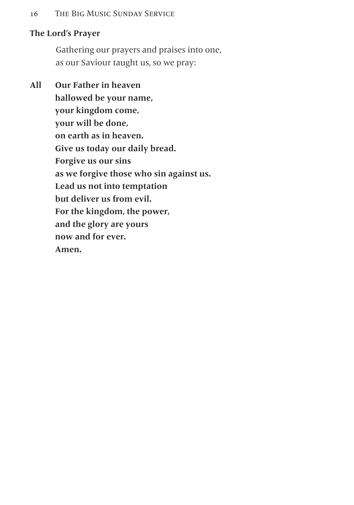## **The Lord's Prayer**

Gathering our prayers and praises into one, as our Saviour taught us, so we pray:

**All Our Father in heaven hallowed be your name, your kingdom come, your will be done, on earth as in heaven. Give us today our daily bread. Forgive us our sins as we forgive those who sin against us. Lead us not into temptation but deliver us from evil. For the kingdom, the power, and the glory are yours now and for ever. Amen.**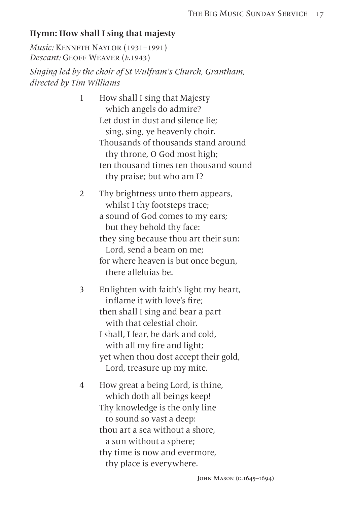## **Hymn: How shall I sing that majesty**

*Music:* Kenneth Naylor (1931–1991) *Descant:* Geoff Weaver (*b*.1943)

*Singing led by the choir of St Wulfram's Church, Grantham, directed by Tim Williams*

- 1 How shall I sing that Majesty which angels do admire? Let dust in dust and silence lie; sing, sing, ye heavenly choir. Thousands of thousands stand around thy throne, O God most high; ten thousand times ten thousand sound thy praise; but who am I?
- 2 Thy brightness unto them appears, whilst I thy footsteps trace; a sound of God comes to my ears; but they behold thy face: they sing because thou art their sun: Lord, send a beam on me; for where heaven is but once begun, there alleluias be.
- 3 Enlighten with faith's light my heart, inflame it with love's fire; then shall I sing and bear a part with that celestial choir. I shall, I fear, be dark and cold, with all my fire and light; yet when thou dost accept their gold, Lord, treasure up my mite.

4 How great a being Lord, is thine, which doth all beings keep! Thy knowledge is the only line to sound so vast a deep: thou art a sea without a shore, a sun without a sphere; thy time is now and evermore, thy place is everywhere.